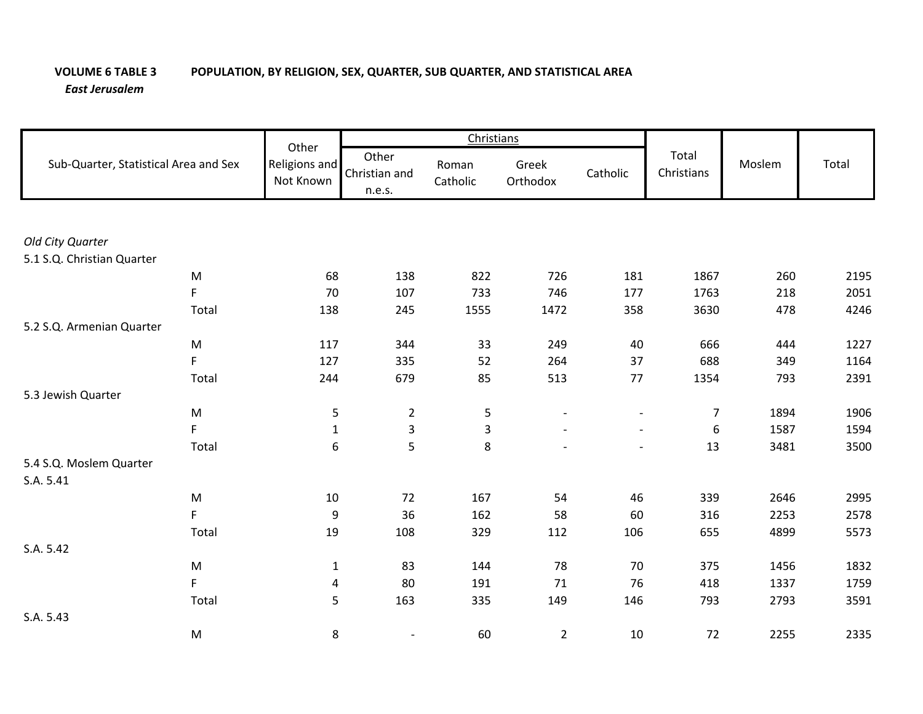## **VOLUME 6 TABLE 3 POPULATION, BY RELIGION, SEX, QUARTER, SUB QUARTER, AND STATISTICAL AREA** *East Jerusalem*

| Sub-Quarter, Statistical Area and Sex |                                                                                                            | Other                      |                                  | Christians              |                   |                          |                     |        |       |
|---------------------------------------|------------------------------------------------------------------------------------------------------------|----------------------------|----------------------------------|-------------------------|-------------------|--------------------------|---------------------|--------|-------|
|                                       |                                                                                                            | Religions and<br>Not Known | Other<br>Christian and<br>n.e.s. | Roman<br>Catholic       | Greek<br>Orthodox | Catholic                 | Total<br>Christians | Moslem | Total |
|                                       |                                                                                                            |                            |                                  |                         |                   |                          |                     |        |       |
| Old City Quarter                      |                                                                                                            |                            |                                  |                         |                   |                          |                     |        |       |
| 5.1 S.Q. Christian Quarter            |                                                                                                            |                            |                                  |                         |                   |                          |                     |        |       |
|                                       | $\mathsf{M}% _{T}=\mathsf{M}_{T}\!\left( a,b\right) ,\ \mathsf{M}_{T}=\mathsf{M}_{T}\!\left( a,b\right) ,$ | 68                         | 138                              | 822                     | 726               | 181                      | 1867                | 260    | 2195  |
|                                       | F                                                                                                          | 70                         | 107                              | 733                     | 746               | 177                      | 1763                | 218    | 2051  |
|                                       | Total                                                                                                      | 138                        | 245                              | 1555                    | 1472              | 358                      | 3630                | 478    | 4246  |
| 5.2 S.Q. Armenian Quarter             |                                                                                                            |                            |                                  |                         |                   |                          |                     |        |       |
|                                       | M                                                                                                          | 117                        | 344                              | 33                      | 249               | 40                       | 666                 | 444    | 1227  |
|                                       | F                                                                                                          | 127                        | 335                              | 52                      | 264               | 37                       | 688                 | 349    | 1164  |
|                                       | Total                                                                                                      | 244                        | 679                              | 85                      | 513               | 77                       | 1354                | 793    | 2391  |
| 5.3 Jewish Quarter                    |                                                                                                            |                            |                                  |                         |                   |                          |                     |        |       |
|                                       | M                                                                                                          | 5                          | $\overline{2}$                   | 5                       |                   | $\overline{\phantom{a}}$ | 7                   | 1894   | 1906  |
|                                       | F                                                                                                          | $\mathbf{1}$               | $\overline{\mathbf{3}}$          | $\overline{\mathbf{3}}$ |                   | $\blacksquare$           | $\boldsymbol{6}$    | 1587   | 1594  |
|                                       | Total                                                                                                      | 6                          | 5                                | 8                       | $\sim$            | $\overline{\phantom{a}}$ | 13                  | 3481   | 3500  |
| 5.4 S.Q. Moslem Quarter               |                                                                                                            |                            |                                  |                         |                   |                          |                     |        |       |
| S.A. 5.41                             |                                                                                                            |                            |                                  |                         |                   |                          |                     |        |       |
|                                       | $\mathsf{M}% _{T}=\mathsf{M}_{T}\!\left( a,b\right) ,\ \mathsf{M}_{T}=\mathsf{M}_{T}\!\left( a,b\right) ,$ | 10                         | 72                               | 167                     | 54                | 46                       | 339                 | 2646   | 2995  |
|                                       | F                                                                                                          | 9                          | 36                               | 162                     | 58                | 60                       | 316                 | 2253   | 2578  |
|                                       | Total                                                                                                      | 19                         | 108                              | 329                     | 112               | 106                      | 655                 | 4899   | 5573  |
| S.A. 5.42                             |                                                                                                            |                            |                                  |                         |                   |                          |                     |        |       |
|                                       | $\mathsf{M}% _{T}=\mathsf{M}_{T}\!\left( a,b\right) ,\ \mathsf{M}_{T}=\mathsf{M}_{T}\!\left( a,b\right) ,$ | $\mathbf{1}$               | 83                               | 144                     | 78                | 70                       | 375                 | 1456   | 1832  |
|                                       | F                                                                                                          | 4                          | 80                               | 191                     | 71                | 76                       | 418                 | 1337   | 1759  |
|                                       | Total                                                                                                      | 5                          | 163                              | 335                     | 149               | 146                      | 793                 | 2793   | 3591  |
| S.A. 5.43                             |                                                                                                            |                            |                                  |                         |                   |                          |                     |        |       |
|                                       | ${\sf M}$                                                                                                  | 8                          |                                  | 60                      | $\overline{2}$    | $10\,$                   | 72                  | 2255   | 2335  |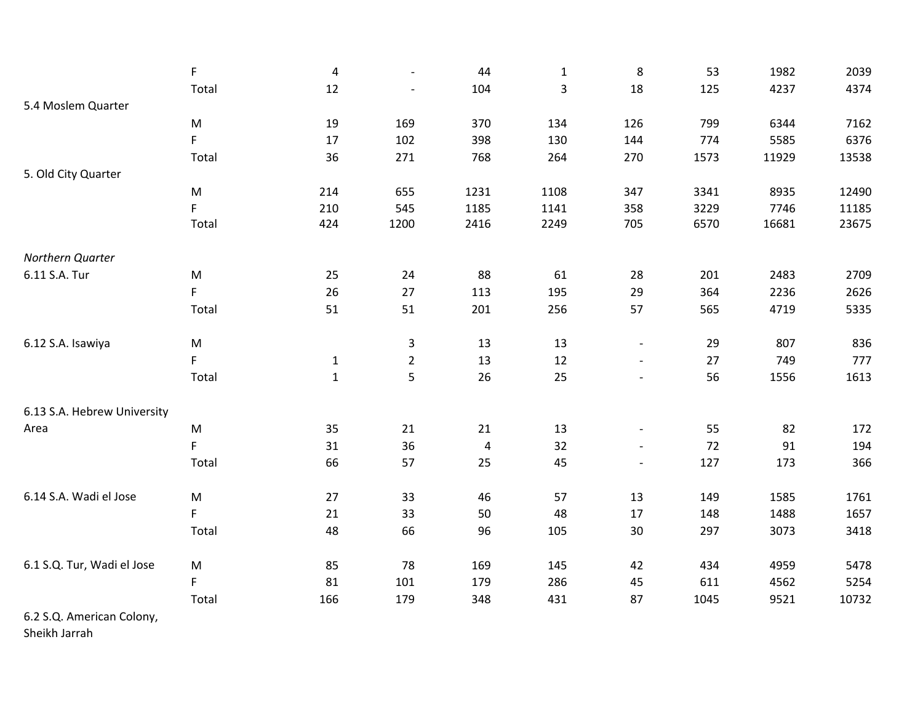|                             | F           | $\overline{4}$ | $\overline{\phantom{a}}$ | 44             | $\mathbf{1}$   | 8                        | 53   | 1982  | 2039  |
|-----------------------------|-------------|----------------|--------------------------|----------------|----------------|--------------------------|------|-------|-------|
|                             | Total       | 12             |                          | 104            | $\overline{3}$ | 18                       | 125  | 4237  | 4374  |
| 5.4 Moslem Quarter          |             |                |                          |                |                |                          |      |       |       |
|                             | ${\sf M}$   | 19             | 169                      | 370            | 134            | 126                      | 799  | 6344  | 7162  |
|                             | F           | 17             | 102                      | 398            | 130            | 144                      | 774  | 5585  | 6376  |
|                             | Total       | 36             | 271                      | 768            | 264            | 270                      | 1573 | 11929 | 13538 |
| 5. Old City Quarter         |             |                |                          |                |                |                          |      |       |       |
|                             | M           | 214            | 655                      | 1231           | 1108           | 347                      | 3341 | 8935  | 12490 |
|                             | F           | 210            | 545                      | 1185           | 1141           | 358                      | 3229 | 7746  | 11185 |
|                             | Total       | 424            | 1200                     | 2416           | 2249           | 705                      | 6570 | 16681 | 23675 |
| Northern Quarter            |             |                |                          |                |                |                          |      |       |       |
| 6.11 S.A. Tur               | M           | 25             | 24                       | 88             | 61             | 28                       | 201  | 2483  | 2709  |
|                             | F           | 26             | $27$                     | 113            | 195            | 29                       | 364  | 2236  | 2626  |
|                             | Total       | 51             | 51                       | 201            | 256            | 57                       | 565  | 4719  | 5335  |
| 6.12 S.A. Isawiya           | M           |                | 3                        | 13             | 13             | $\overline{\phantom{a}}$ | 29   | 807   | 836   |
|                             | F           | $\mathbf{1}$   | $\overline{2}$           | 13             | 12             | $\overline{\phantom{a}}$ | 27   | 749   | 777   |
|                             | Total       | $\mathbf 1$    | 5                        | 26             | 25             | $\blacksquare$           | 56   | 1556  | 1613  |
| 6.13 S.A. Hebrew University |             |                |                          |                |                |                          |      |       |       |
| Area                        | ${\sf M}$   | 35             | 21                       | 21             | 13             | $\overline{\phantom{a}}$ | 55   | 82    | 172   |
|                             | F           | 31             | 36                       | $\overline{4}$ | 32             | $\overline{\phantom{a}}$ | 72   | 91    | 194   |
|                             | Total       | 66             | 57                       | 25             | 45             | $\overline{\phantom{a}}$ | 127  | 173   | 366   |
| 6.14 S.A. Wadi el Jose      | ${\sf M}$   | 27             | 33                       | 46             | 57             | 13                       | 149  | 1585  | 1761  |
|                             | $\mathsf F$ | 21             | 33                       | 50             | 48             | 17                       | 148  | 1488  | 1657  |
|                             | Total       | 48             | 66                       | 96             | 105            | $30\,$                   | 297  | 3073  | 3418  |
|                             |             |                |                          |                |                |                          |      |       |       |
| 6.1 S.Q. Tur, Wadi el Jose  | ${\sf M}$   | 85             | 78                       | 169            | 145            | 42                       | 434  | 4959  | 5478  |
|                             | $\mathsf F$ | 81             | 101                      | 179            | 286            | 45                       | 611  | 4562  | 5254  |
|                             | Total       | 166            | 179                      | 348            | 431            | 87                       | 1045 | 9521  | 10732 |
| 6.2 S.Q. American Colony,   |             |                |                          |                |                |                          |      |       |       |

Sheikh Jarrah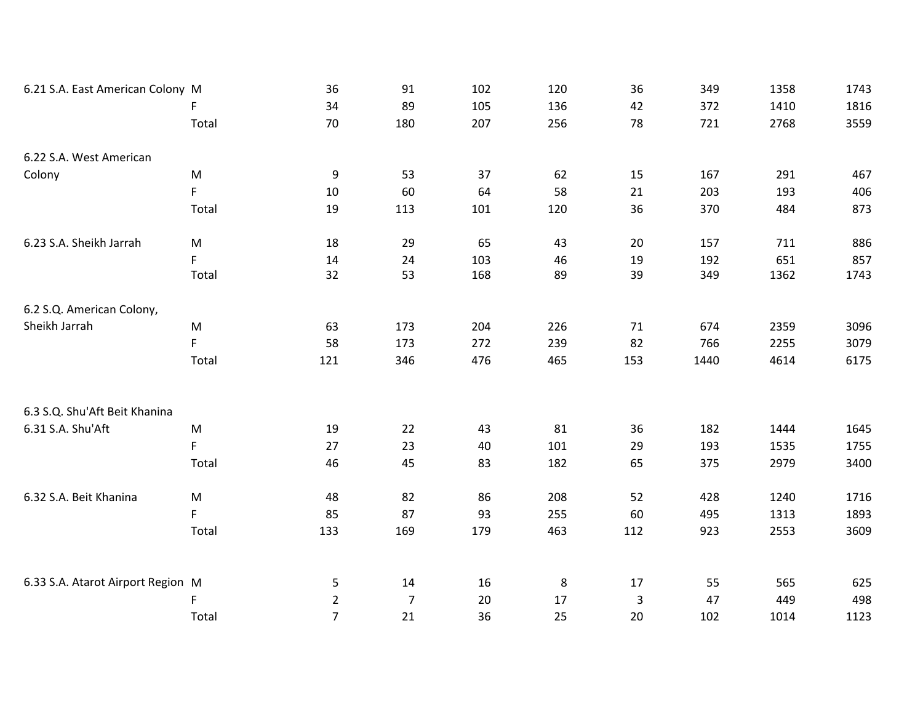| 6.21 S.A. East American Colony M  |                                                                                                            | 36             | 91             | 102 | 120 | 36           | 349  | 1358 | 1743 |
|-----------------------------------|------------------------------------------------------------------------------------------------------------|----------------|----------------|-----|-----|--------------|------|------|------|
|                                   | F                                                                                                          | 34             | 89             | 105 | 136 | 42           | 372  | 1410 | 1816 |
|                                   | Total                                                                                                      | 70             | 180            | 207 | 256 | 78           | 721  | 2768 | 3559 |
| 6.22 S.A. West American           |                                                                                                            |                |                |     |     |              |      |      |      |
| Colony                            | ${\sf M}$                                                                                                  | 9              | 53             | 37  | 62  | 15           | 167  | 291  | 467  |
|                                   | F.                                                                                                         | 10             | 60             | 64  | 58  | 21           | 203  | 193  | 406  |
|                                   | Total                                                                                                      | 19             | 113            | 101 | 120 | 36           | 370  | 484  | 873  |
| 6.23 S.A. Sheikh Jarrah           | M                                                                                                          | 18             | 29             | 65  | 43  | 20           | 157  | 711  | 886  |
|                                   | F.                                                                                                         | 14             | 24             | 103 | 46  | 19           | 192  | 651  | 857  |
|                                   | Total                                                                                                      | 32             | 53             | 168 | 89  | 39           | 349  | 1362 | 1743 |
| 6.2 S.Q. American Colony,         |                                                                                                            |                |                |     |     |              |      |      |      |
| Sheikh Jarrah                     | $\mathsf{M}% _{T}=\mathsf{M}_{T}\!\left( a,b\right) ,\ \mathsf{M}_{T}=\mathsf{M}_{T}\!\left( a,b\right) ,$ | 63             | 173            | 204 | 226 | 71           | 674  | 2359 | 3096 |
|                                   | $\mathsf F$                                                                                                | 58             | 173            | 272 | 239 | 82           | 766  | 2255 | 3079 |
|                                   | Total                                                                                                      | 121            | 346            | 476 | 465 | 153          | 1440 | 4614 | 6175 |
|                                   |                                                                                                            |                |                |     |     |              |      |      |      |
| 6.3 S.Q. Shu'Aft Beit Khanina     |                                                                                                            |                |                |     |     |              |      |      |      |
| 6.31 S.A. Shu'Aft                 | ${\sf M}$                                                                                                  | 19             | 22             | 43  | 81  | 36           | 182  | 1444 | 1645 |
|                                   | F                                                                                                          | 27             | 23             | 40  | 101 | 29           | 193  | 1535 | 1755 |
|                                   | Total                                                                                                      | 46             | 45             | 83  | 182 | 65           | 375  | 2979 | 3400 |
| 6.32 S.A. Beit Khanina            | M                                                                                                          | 48             | 82             | 86  | 208 | 52           | 428  | 1240 | 1716 |
|                                   | $\mathsf F$                                                                                                | 85             | 87             | 93  | 255 | 60           | 495  | 1313 | 1893 |
|                                   | Total                                                                                                      | 133            | 169            | 179 | 463 | 112          | 923  | 2553 | 3609 |
|                                   |                                                                                                            |                |                |     |     |              |      |      |      |
| 6.33 S.A. Atarot Airport Region M |                                                                                                            | 5              | 14             | 16  | 8   | 17           | 55   | 565  | 625  |
|                                   | F                                                                                                          | $\overline{2}$ | $\overline{7}$ | 20  | 17  | $\mathbf{3}$ | 47   | 449  | 498  |
|                                   | Total                                                                                                      | $\overline{7}$ | 21             | 36  | 25  | 20           | 102  | 1014 | 1123 |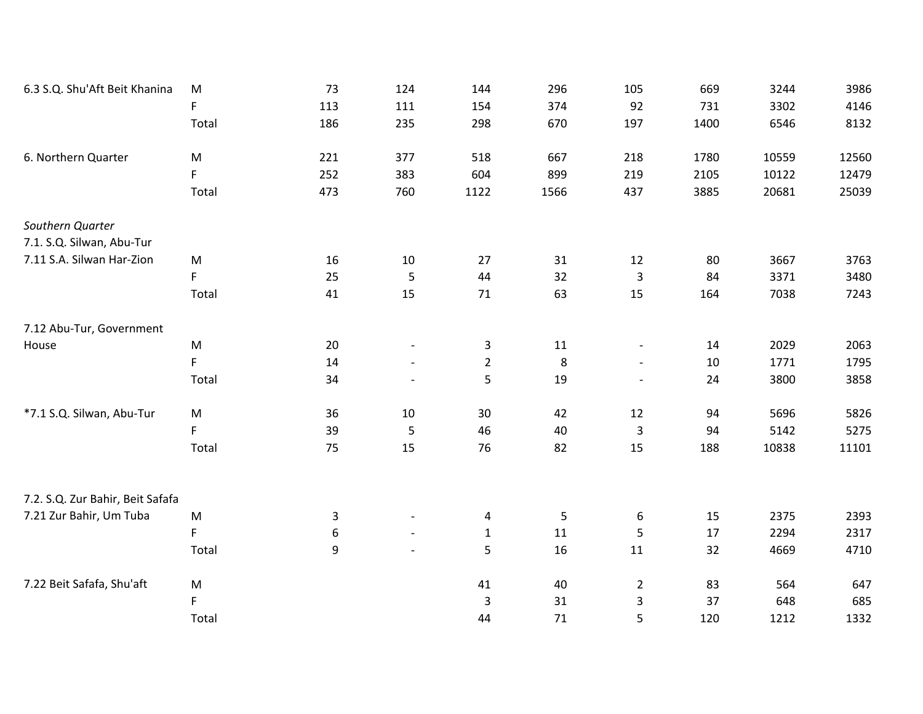| 6.3 S.Q. Shu'Aft Beit Khanina    | ${\sf M}$                                                                                                  | 73          | 124                      | 144            | 296            | 105                       | 669  | 3244  | 3986  |
|----------------------------------|------------------------------------------------------------------------------------------------------------|-------------|--------------------------|----------------|----------------|---------------------------|------|-------|-------|
|                                  | $\mathsf F$                                                                                                | 113         | 111                      | 154            | 374            | 92                        | 731  | 3302  | 4146  |
|                                  | Total                                                                                                      | 186         | 235                      | 298            | 670            | 197                       | 1400 | 6546  | 8132  |
| 6. Northern Quarter              | ${\sf M}$                                                                                                  | 221         | 377                      | 518            | 667            | 218                       | 1780 | 10559 | 12560 |
|                                  | $\mathsf F$                                                                                                | 252         | 383                      | 604            | 899            | 219                       | 2105 | 10122 | 12479 |
|                                  | Total                                                                                                      | 473         | 760                      | 1122           | 1566           | 437                       | 3885 | 20681 | 25039 |
| Southern Quarter                 |                                                                                                            |             |                          |                |                |                           |      |       |       |
| 7.1. S.Q. Silwan, Abu-Tur        |                                                                                                            |             |                          |                |                |                           |      |       |       |
| 7.11 S.A. Silwan Har-Zion        | ${\sf M}$                                                                                                  | 16          | $10\,$                   | 27             | 31             | 12                        | 80   | 3667  | 3763  |
|                                  | $\mathsf F$                                                                                                | 25          | 5                        | 44             | 32             | $\mathbf{3}$              | 84   | 3371  | 3480  |
|                                  | Total                                                                                                      | 41          | 15                       | 71             | 63             | 15                        | 164  | 7038  | 7243  |
| 7.12 Abu-Tur, Government         |                                                                                                            |             |                          |                |                |                           |      |       |       |
| House                            | ${\sf M}$                                                                                                  | 20          | $\overline{\phantom{a}}$ | $\mathbf{3}$   | 11             | $\overline{\phantom{a}}$  | 14   | 2029  | 2063  |
|                                  | F                                                                                                          | 14          |                          | $\overline{2}$ | 8              | $\blacksquare$            | 10   | 1771  | 1795  |
|                                  | Total                                                                                                      | 34          |                          | 5              | 19             |                           | 24   | 3800  | 3858  |
| *7.1 S.Q. Silwan, Abu-Tur        | $\mathsf{M}% _{T}=\mathsf{M}_{T}\!\left( a,b\right) ,\ \mathsf{M}_{T}=\mathsf{M}_{T}\!\left( a,b\right) ,$ | 36          | 10                       | 30             | 42             | 12                        | 94   | 5696  | 5826  |
|                                  | F.                                                                                                         | 39          | 5                        | 46             | 40             | 3                         | 94   | 5142  | 5275  |
|                                  | Total                                                                                                      | 75          | 15                       | 76             | 82             | 15                        | 188  | 10838 | 11101 |
|                                  |                                                                                                            |             |                          |                |                |                           |      |       |       |
| 7.2. S.Q. Zur Bahir, Beit Safafa |                                                                                                            |             |                          |                |                |                           |      |       |       |
| 7.21 Zur Bahir, Um Tuba          | ${\sf M}$                                                                                                  | $\mathsf 3$ | $\overline{\phantom{a}}$ | 4              | $\overline{5}$ | 6                         | 15   | 2375  | 2393  |
|                                  | $\mathsf F$                                                                                                | $\,6\,$     | $\blacksquare$           | $\mathbf{1}$   | 11             | 5                         | 17   | 2294  | 2317  |
|                                  | Total                                                                                                      | 9           |                          | 5              | 16             | 11                        | 32   | 4669  | 4710  |
| 7.22 Beit Safafa, Shu'aft        | M                                                                                                          |             |                          | 41             | 40             | $\overline{2}$            | 83   | 564   | 647   |
|                                  | $\mathsf F$                                                                                                |             |                          | 3              | 31             | $\ensuremath{\mathsf{3}}$ | 37   | 648   | 685   |
|                                  | Total                                                                                                      |             |                          | 44             | 71             | 5                         | 120  | 1212  | 1332  |